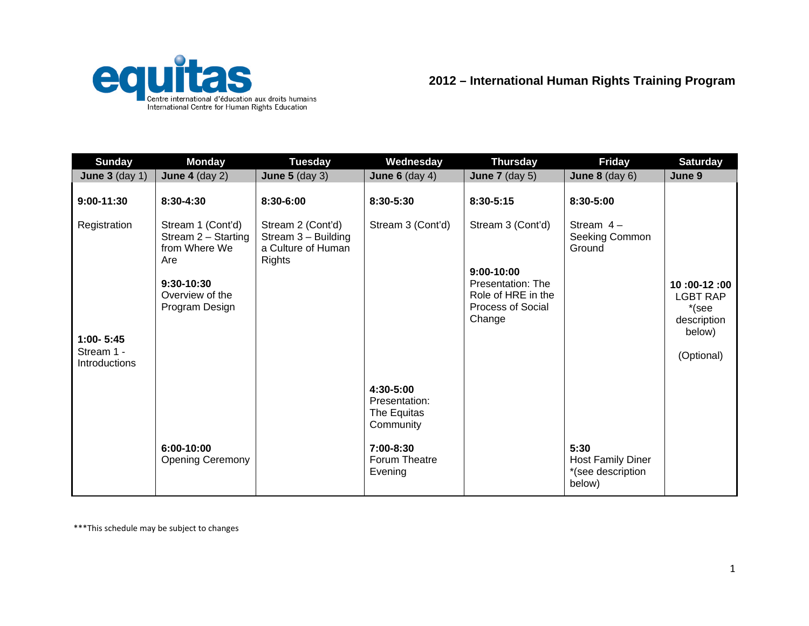

| <b>Sunday</b>                                | <b>Monday</b>                                                    | <b>Tuesday</b>                                                                    | Wednesday                                              | <b>Thursday</b>                                                                             | <b>Friday</b>                                                   | <b>Saturday</b>                                   |
|----------------------------------------------|------------------------------------------------------------------|-----------------------------------------------------------------------------------|--------------------------------------------------------|---------------------------------------------------------------------------------------------|-----------------------------------------------------------------|---------------------------------------------------|
| June $3$ (day 1)                             | June 4 $(day 2)$                                                 | June $5$ (day 3)                                                                  | June $6$ (day 4)                                       | June $7$ (day $5$ )                                                                         | June $8$ (day $6$ )                                             | June 9                                            |
| $9:00-11:30$                                 | 8:30-4:30                                                        | 8:30-6:00                                                                         | 8:30-5:30                                              | 8:30-5:15                                                                                   | 8:30-5:00                                                       |                                                   |
| Registration                                 | Stream 1 (Cont'd)<br>Stream 2 - Starting<br>from Where We<br>Are | Stream 2 (Cont'd)<br>Stream $3 -$ Building<br>a Culture of Human<br><b>Rights</b> | Stream 3 (Cont'd)                                      | Stream 3 (Cont'd)                                                                           | Stream $4-$<br>Seeking Common<br>Ground                         |                                                   |
|                                              | 9:30-10:30<br>Overview of the<br>Program Design                  |                                                                                   |                                                        | 9:00-10:00<br>Presentation: The<br>Role of HRE in the<br><b>Process of Social</b><br>Change |                                                                 | 10: 00-12: 00<br>LGBT RAP<br>*(see<br>description |
| $1:00 - 5:45$<br>Stream 1 -<br>Introductions |                                                                  |                                                                                   |                                                        |                                                                                             |                                                                 | below)<br>(Optional)                              |
|                                              |                                                                  |                                                                                   | 4:30-5:00<br>Presentation:<br>The Equitas<br>Community |                                                                                             |                                                                 |                                                   |
|                                              | 6:00-10:00<br><b>Opening Ceremony</b>                            |                                                                                   | 7:00-8:30<br>Forum Theatre<br>Evening                  |                                                                                             | 5:30<br><b>Host Family Diner</b><br>*(see description<br>below) |                                                   |

\*\*\*This schedule may be subject to changes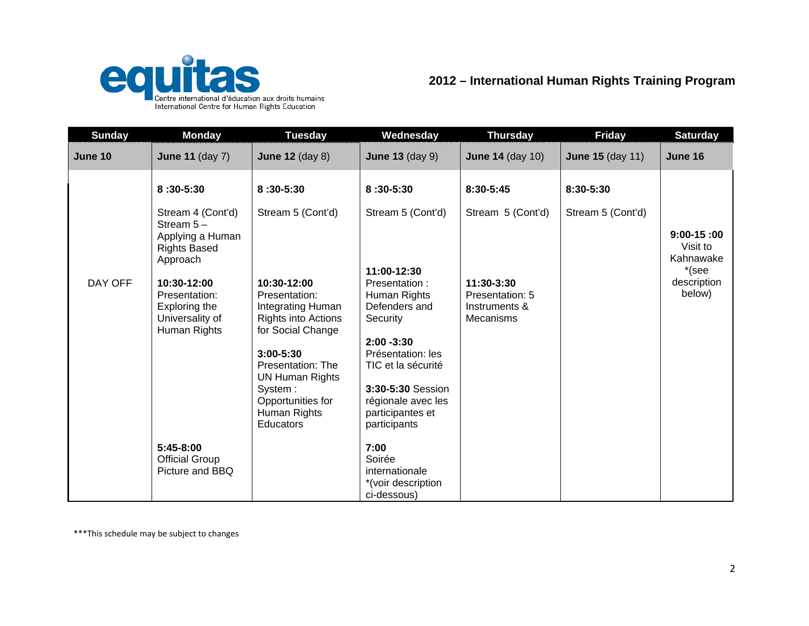

| <b>Sunday</b> | <b>Monday</b>                                       | <b>Tuesday</b>                           | Wednesday                               | <b>Thursday</b>               | <b>Friday</b>           | <b>Saturday</b>                       |
|---------------|-----------------------------------------------------|------------------------------------------|-----------------------------------------|-------------------------------|-------------------------|---------------------------------------|
| June 10       | <b>June 11 (day 7)</b>                              | <b>June 12 (day 8)</b>                   | <b>June 13 (day 9)</b>                  | <b>June 14 (day 10)</b>       | <b>June 15 (day 11)</b> | June 16                               |
|               | $8:30-5:30$                                         | $8:30-5:30$                              | 8:30-5:30                               | 8:30-5:45                     | 8:30-5:30               |                                       |
|               | Stream 4 (Cont'd)<br>Stream $5 -$                   | Stream 5 (Cont'd)                        | Stream 5 (Cont'd)                       | Stream 5 (Cont'd)             | Stream 5 (Cont'd)       |                                       |
|               | Applying a Human<br><b>Rights Based</b><br>Approach |                                          |                                         |                               |                         | $9:00-15:00$<br>Visit to<br>Kahnawake |
|               |                                                     |                                          | 11:00-12:30                             |                               |                         | *(see                                 |
| DAY OFF       | 10:30-12:00<br>Presentation:                        | 10:30-12:00<br>Presentation:             | Presentation:<br>Human Rights           | 11:30-3:30<br>Presentation: 5 |                         | description<br>below)                 |
|               | Exploring the                                       | Integrating Human                        | Defenders and                           | Instruments &                 |                         |                                       |
|               | Universality of<br>Human Rights                     | Rights into Actions<br>for Social Change | Security                                | <b>Mecanisms</b>              |                         |                                       |
|               |                                                     |                                          | $2:00 - 3:30$                           |                               |                         |                                       |
|               |                                                     | $3:00 - 5:30$<br>Presentation: The       | Présentation: les<br>TIC et la sécurité |                               |                         |                                       |
|               |                                                     | <b>UN Human Rights</b>                   |                                         |                               |                         |                                       |
|               |                                                     | System:                                  | 3:30-5:30 Session                       |                               |                         |                                       |
|               |                                                     | Opportunities for                        | régionale avec les                      |                               |                         |                                       |
|               |                                                     | Human Rights<br><b>Educators</b>         | participantes et<br>participants        |                               |                         |                                       |
|               |                                                     |                                          |                                         |                               |                         |                                       |
|               | $5:45-8:00$<br><b>Official Group</b>                |                                          | 7:00<br>Soirée                          |                               |                         |                                       |
|               | Picture and BBQ                                     |                                          | internationale                          |                               |                         |                                       |
|               |                                                     |                                          | *(voir description                      |                               |                         |                                       |
|               |                                                     |                                          | ci-dessous)                             |                               |                         |                                       |

\*\*\*This schedule may be subject to changes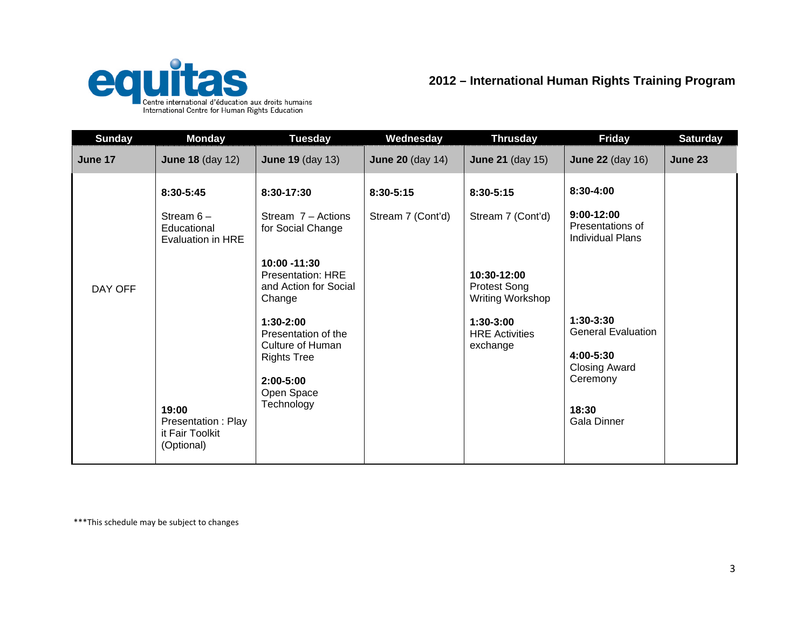

| <b>Sunday</b> | <b>Monday</b>                                                                               | <b>Tuesday</b>                                                                                                                                                                                                                                                  | Wednesday                      | <b>Thrusday</b>                                                                                                                              | <b>Friday</b>                                                                                                                                                                                 | <b>Saturday</b> |
|---------------|---------------------------------------------------------------------------------------------|-----------------------------------------------------------------------------------------------------------------------------------------------------------------------------------------------------------------------------------------------------------------|--------------------------------|----------------------------------------------------------------------------------------------------------------------------------------------|-----------------------------------------------------------------------------------------------------------------------------------------------------------------------------------------------|-----------------|
| June 17       | <b>June 18 (day 12)</b>                                                                     | <b>June 19 (day 13)</b>                                                                                                                                                                                                                                         | <b>June 20 (day 14)</b>        | <b>June 21 (day 15)</b>                                                                                                                      | <b>June 22 (day 16)</b>                                                                                                                                                                       | June 23         |
| DAY OFF       | 8:30-5:45<br>Stream $6-$<br>Educational<br>Evaluation in HRE<br>19:00<br>Presentation: Play | 8:30-17:30<br>Stream $7 -$ Actions<br>for Social Change<br>10:00 -11:30<br><b>Presentation: HRE</b><br>and Action for Social<br>Change<br>$1:30-2:00$<br>Presentation of the<br>Culture of Human<br><b>Rights Tree</b><br>2:00-5:00<br>Open Space<br>Technology | 8:30-5:15<br>Stream 7 (Cont'd) | 8:30-5:15<br>Stream 7 (Cont'd)<br>10:30-12:00<br><b>Protest Song</b><br>Writing Workshop<br>$1:30-3:00$<br><b>HRE Activities</b><br>exchange | 8:30-4:00<br>$9:00-12:00$<br>Presentations of<br><b>Individual Plans</b><br>$1:30-3:30$<br><b>General Evaluation</b><br>4:00-5:30<br><b>Closing Award</b><br>Ceremony<br>18:30<br>Gala Dinner |                 |
|               | it Fair Toolkit<br>(Optional)                                                               |                                                                                                                                                                                                                                                                 |                                |                                                                                                                                              |                                                                                                                                                                                               |                 |

\*\*\*This schedule may be subject to changes